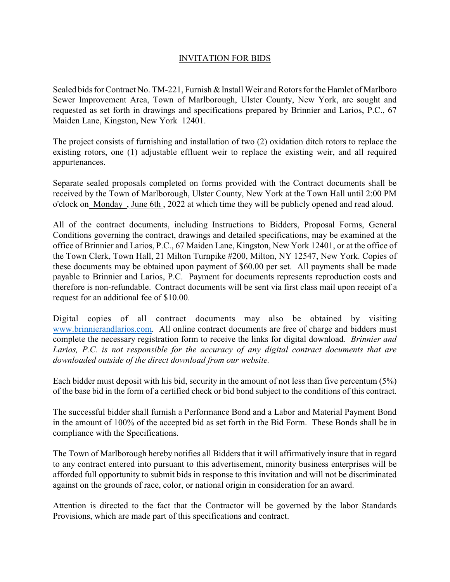## INVITATION FOR BIDS

Sealed bids for Contract No. TM-221, Furnish & Install Weir and Rotors for the Hamlet of Marlboro Sewer Improvement Area, Town of Marlborough, Ulster County, New York, are sought and requested as set forth in drawings and specifications prepared by Brinnier and Larios, P.C., 67 Maiden Lane, Kingston, New York 12401.

The project consists of furnishing and installation of two (2) oxidation ditch rotors to replace the existing rotors, one (1) adjustable effluent weir to replace the existing weir, and all required appurtenances.

Separate sealed proposals completed on forms provided with the Contract documents shall be received by the Town of Marlborough, Ulster County, New York at the Town Hall until 2:00 PM o'clock on Monday , June 6th , 2022 at which time they will be publicly opened and read aloud.

All of the contract documents, including Instructions to Bidders, Proposal Forms, General Conditions governing the contract, drawings and detailed specifications, may be examined at the office of Brinnier and Larios, P.C., 67 Maiden Lane, Kingston, New York 12401, or at the office of the Town Clerk, Town Hall, 21 Milton Turnpike #200, Milton, NY 12547, New York. Copies of these documents may be obtained upon payment of \$60.00 per set. All payments shall be made payable to Brinnier and Larios, P.C. Payment for documents represents reproduction costs and therefore is non-refundable. Contract documents will be sent via first class mail upon receipt of a request for an additional fee of \$10.00.

Digital copies of all contract documents may also be obtained by visiting [www.brinnierandlarios.com](http://www.brinnierandlarios.com). All online contract documents are free of charge and bidders must complete the necessary registration form to receive the links for digital download. *Brinnier and Larios, P.C. is not responsible for the accuracy of any digital contract documents that are downloaded outside of the direct download from our website.*

Each bidder must deposit with his bid, security in the amount of not less than five percentum (5%) of the base bid in the form of a certified check or bid bond subject to the conditions of this contract.

The successful bidder shall furnish a Performance Bond and a Labor and Material Payment Bond in the amount of 100% of the accepted bid as set forth in the Bid Form. These Bonds shall be in compliance with the Specifications.

The Town of Marlborough hereby notifies all Bidders that it will affirmatively insure that in regard to any contract entered into pursuant to this advertisement, minority business enterprises will be afforded full opportunity to submit bids in response to this invitation and will not be discriminated against on the grounds of race, color, or national origin in consideration for an award.

Attention is directed to the fact that the Contractor will be governed by the labor Standards Provisions, which are made part of this specifications and contract.